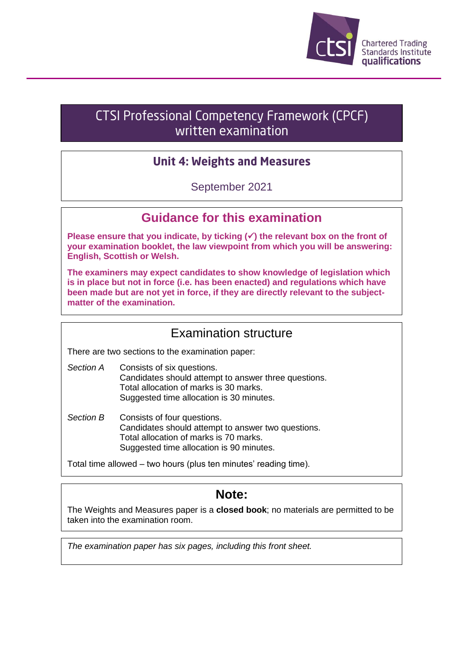

# **CTSI Professional Competency Framework (CPCF)** written examination

# **Unit 4: Weights and Measures**

September 2021

## **Guidance for this examination**

**Please ensure that you indicate, by ticking (**✓**) the relevant box on the front of your examination booklet, the law viewpoint from which you will be answering: English, Scottish or Welsh.**

**The examiners may expect candidates to show knowledge of legislation which is in place but not in force (i.e. has been enacted) and regulations which have been made but are not yet in force, if they are directly relevant to the subjectmatter of the examination.**

## Examination structure

There are two sections to the examination paper:

- *Section A* Consists of six questions. Candidates should attempt to answer three questions. Total allocation of marks is 30 marks. Suggested time allocation is 30 minutes.
- *Section B* Consists of four questions. Candidates should attempt to answer two questions. Total allocation of marks is 70 marks. Suggested time allocation is 90 minutes.

Total time allowed – two hours (plus ten minutes' reading time).

# **Note:**

The Weights and Measures paper is a **closed book**; no materials are permitted to be taken into the examination room.

*The examination paper has six pages, including this front sheet.*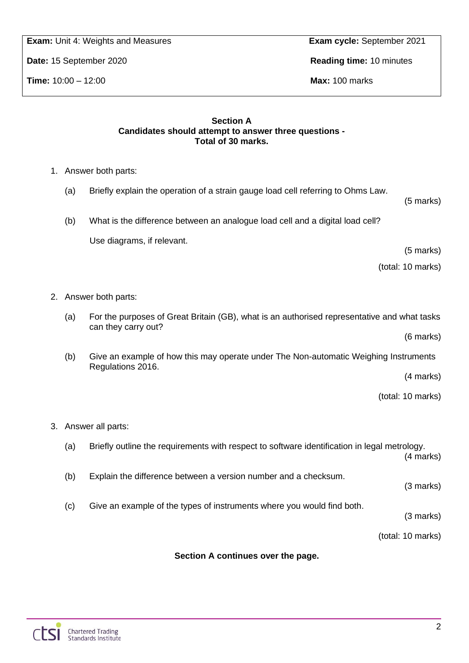**Chartered Trading**<br>Standards Institute

**Exam:** Unit 4: Weights and Measures **Exam cycle:** September 2021

**Date:** 15 September 2020 **Reading time:** 10 minutes

**Time:** 10:00 – 12:00 **Max:** 100 marks

#### **Section A Candidates should attempt to answer three questions - Total of 30 marks.**

- 1. Answer both parts:
	- (a) Briefly explain the operation of a strain gauge load cell referring to Ohms Law.
	- (b) What is the difference between an analogue load cell and a digital load cell? Use diagrams, if relevant.

(5 marks)

(5 marks)

(total: 10 marks)

- 2. Answer both parts:
	- (a) For the purposes of Great Britain (GB), what is an authorised representative and what tasks can they carry out?

(6 marks)

(b) Give an example of how this may operate under The Non-automatic Weighing Instruments Regulations 2016.

(4 marks)

(total: 10 marks)

- 3. Answer all parts:
	- (a) Briefly outline the requirements with respect to software identification in legal metrology. (4 marks) (b) Explain the difference between a version number and a checksum. (3 marks) (c) Give an example of the types of instruments where you would find both. (3 marks) (total: 10 marks)

### **Section A continues over the page.**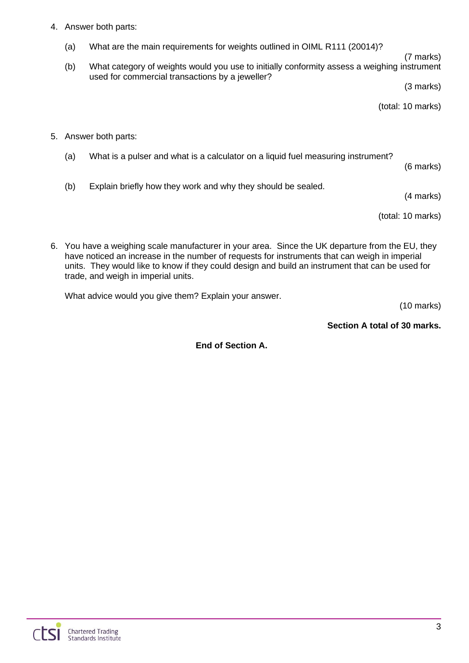#### 4. Answer both parts:

- (a) What are the main requirements for weights outlined in OIML R111 (20014)?
- (7 marks) (b) What category of weights would you use to initially conformity assess a weighing instrument used for commercial transactions by a jeweller?

(3 marks)

(total: 10 marks)

- 5. Answer both parts:
	- (a) What is a pulser and what is a calculator on a liquid fuel measuring instrument?
		-

(6 marks)

(b) Explain briefly how they work and why they should be sealed.

(4 marks)

(total: 10 marks)

6. You have a weighing scale manufacturer in your area. Since the UK departure from the EU, they have noticed an increase in the number of requests for instruments that can weigh in imperial units. They would like to know if they could design and build an instrument that can be used for trade, and weigh in imperial units.

What advice would you give them? Explain your answer.

(10 marks)

#### **Section A total of 30 marks.**

**End of Section A.**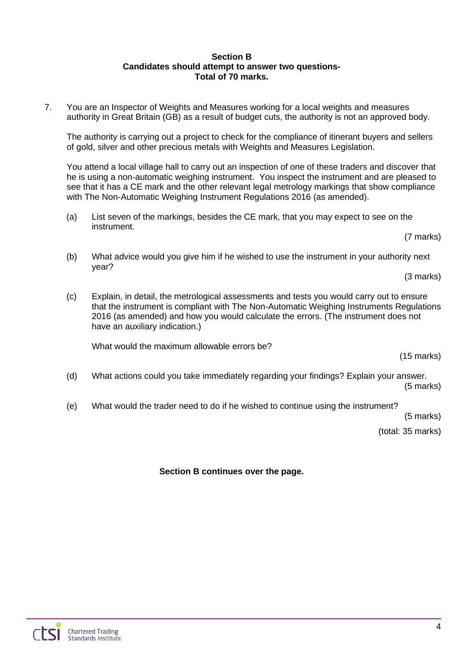#### **Section B Candidates should attempt to answer two questions-Total of 70 marks.**

7. You are an Inspector of Weights and Measures working for a local weights and measures authority in Great Britain (GB) as a result of budget cuts, the authority is not an approved body.

The authority is carrying out a project to check for the compliance of itinerant buyers and sellers of gold, silver and other precious metals with Weights and Measures Legislation.

You attend a local village hall to carry out an inspection of one of these traders and discover that he is using a non-automatic weighing instrument. You inspect the instrument and are pleased to see that it has a CE mark and the other relevant legal metrology markings that show compliance with The Non-Automatic Weighing Instrument Regulations 2016 (as amended).

(a) List seven of the markings, besides the CE mark, that you may expect to see on the instrument.

(7 marks)

(b) What advice would you give him if he wished to use the instrument in your authority next year?

(3 marks)

(c) Explain, in detail, the metrological assessments and tests you would carry out to ensure that the instrument is compliant with The Non-Automatic Weighing Instruments Regulations 2016 (as amended) and how you would calculate the errors. (The instrument does not have an auxiliary indication.)

What would the maximum allowable errors be?

(15 marks)

- (d) What actions could you take immediately regarding your findings? Explain your answer. (5 marks)
- (e) What would the trader need to do if he wished to continue using the instrument?

(5 marks)

(total: 35 marks)

**Section B continues over the page.**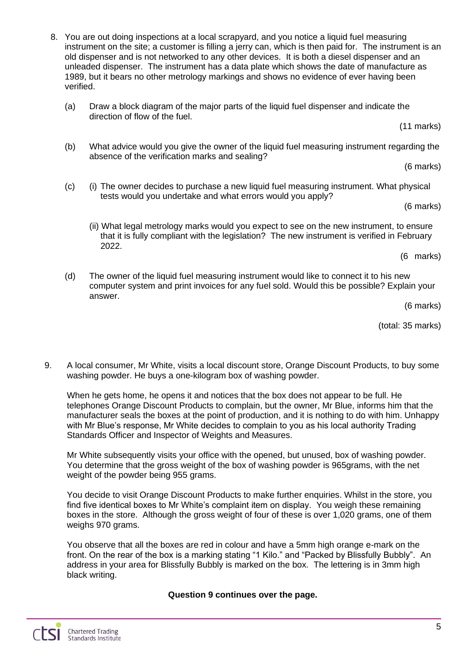- 8. You are out doing inspections at a local scrapyard, and you notice a liquid fuel measuring instrument on the site; a customer is filling a jerry can, which is then paid for. The instrument is an old dispenser and is not networked to any other devices. It is both a diesel dispenser and an unleaded dispenser. The instrument has a data plate which shows the date of manufacture as 1989, but it bears no other metrology markings and shows no evidence of ever having been verified.
	- (a) Draw a block diagram of the major parts of the liquid fuel dispenser and indicate the direction of flow of the fuel.

(11 marks)

(b) What advice would you give the owner of the liquid fuel measuring instrument regarding the absence of the verification marks and sealing?

(6 marks)

(c) (i) The owner decides to purchase a new liquid fuel measuring instrument. What physical tests would you undertake and what errors would you apply?

(6 marks)

(ii) What legal metrology marks would you expect to see on the new instrument, to ensure that it is fully compliant with the legislation? The new instrument is verified in February 2022.

(6 marks)

(d) The owner of the liquid fuel measuring instrument would like to connect it to his new computer system and print invoices for any fuel sold. Would this be possible? Explain your answer.

(6 marks)

(total: 35 marks)

9. A local consumer, Mr White, visits a local discount store, Orange Discount Products, to buy some washing powder. He buys a one-kilogram box of washing powder.

When he gets home, he opens it and notices that the box does not appear to be full. He telephones Orange Discount Products to complain, but the owner, Mr Blue, informs him that the manufacturer seals the boxes at the point of production, and it is nothing to do with him. Unhappy with Mr Blue's response, Mr White decides to complain to you as his local authority Trading Standards Officer and Inspector of Weights and Measures.

Mr White subsequently visits your office with the opened, but unused, box of washing powder. You determine that the gross weight of the box of washing powder is 965grams, with the net weight of the powder being 955 grams.

You decide to visit Orange Discount Products to make further enquiries. Whilst in the store, you find five identical boxes to Mr White's complaint item on display. You weigh these remaining boxes in the store. Although the gross weight of four of these is over 1,020 grams, one of them weighs 970 grams.

You observe that all the boxes are red in colour and have a 5mm high orange e-mark on the front. On the rear of the box is a marking stating "1 Kilo." and "Packed by Blissfully Bubbly". An address in your area for Blissfully Bubbly is marked on the box. The lettering is in 3mm high black writing.

**Question 9 continues over the page.**